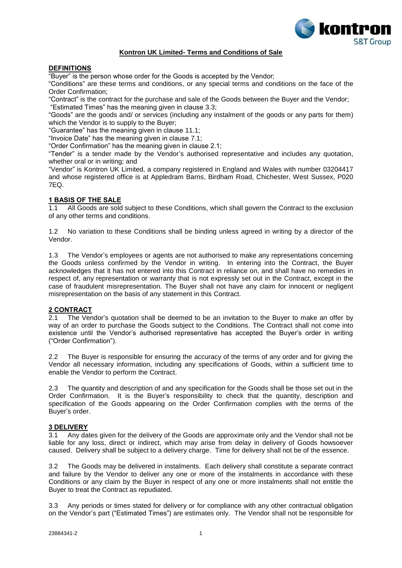

# **Kontron UK Limited- Terms and Conditions of Sale**

# **DEFINITIONS**

"Buyer" is the person whose order for the Goods is accepted by the Vendor;

"Conditions" are these terms and conditions, or any special terms and conditions on the face of the Order Confirmation;

"Contract" is the contract for the purchase and sale of the Goods between the Buyer and the Vendor; "Estimated Times" has the meaning given in clause [3.3;](#page-0-0)

"Goods" are the goods and/ or services (including any instalment of the goods or any parts for them) which the Vendor is to supply to the Buyer;

"Guarantee" has the meaning given in clause 11.1;

"Invoice Date" has the meaning given in clause [7.1;](#page-2-0)

"Order Confirmation" has the meaning given in clause 2.1;

"Tender" is a tender made by the Vendor's authorised representative and includes any quotation, whether oral or in writing; and

"Vendor" is Kontron UK Limited, a company registered in England and Wales with number 03204417 and whose registered office is at Appledram Barns, Birdham Road, Chichester, West Sussex, P020 7EQ.

# **1 BASIS OF THE SALE**<br>1.1 All Goods are sold

1.1 All Goods are sold subject to these Conditions, which shall govern the Contract to the exclusion of any other terms and conditions.

1.2 No variation to these Conditions shall be binding unless agreed in writing by a director of the Vendor.

1.3 The Vendor's employees or agents are not authorised to make any representations concerning the Goods unless confirmed by the Vendor in writing. In entering into the Contract, the Buyer acknowledges that it has not entered into this Contract in reliance on, and shall have no remedies in respect of, any representation or warranty that is not expressly set out in the Contract, except in the case of fraudulent misrepresentation. The Buyer shall not have any claim for innocent or negligent misrepresentation on the basis of any statement in this Contract.

## **2 CONTRACT**

2.1 The Vendor's quotation shall be deemed to be an invitation to the Buyer to make an offer by way of an order to purchase the Goods subject to the Conditions. The Contract shall not come into existence until the Vendor's authorised representative has accepted the Buyer's order in writing ("Order Confirmation").

2.2 The Buyer is responsible for ensuring the accuracy of the terms of any order and for giving the Vendor all necessary information, including any specifications of Goods, within a sufficient time to enable the Vendor to perform the Contract.

The quantity and description of and any specification for the Goods shall be those set out in the Order Confirmation. It is the Buyer's responsibility to check that the quantity, description and specification of the Goods appearing on the Order Confirmation complies with the terms of the Buyer's order.

# **3 DELIVERY**<br>3.1 Any dat

Any dates given for the delivery of the Goods are approximate only and the Vendor shall not be liable for any loss, direct or indirect, which may arise from delay in delivery of Goods howsoever caused. Delivery shall be subject to a delivery charge. Time for delivery shall not be of the essence.

3.2 The Goods may be delivered in instalments. Each delivery shall constitute a separate contract and failure by the Vendor to deliver any one or more of the instalments in accordance with these Conditions or any claim by the Buyer in respect of any one or more instalments shall not entitle the Buyer to treat the Contract as repudiated.

<span id="page-0-0"></span>3.3 Any periods or times stated for delivery or for compliance with any other contractual obligation on the Vendor's part ("Estimated Times") are estimates only. The Vendor shall not be responsible for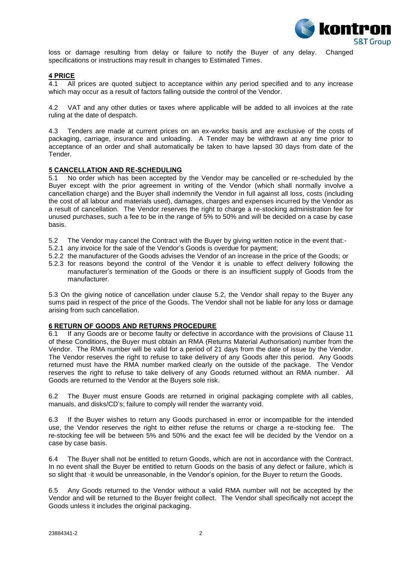

loss or damage resulting from delay or failure to notify the Buyer of any delay. Changed specifications or instructions may result in changes to Estimated Times.

# **4 PRICE**

4.1 All prices are quoted subject to acceptance within any period specified and to any increase which may occur as a result of factors falling outside the control of the Vendor.

4.2 VAT and any other duties or taxes where applicable will be added to all invoices at the rate ruling at the date of despatch.

4.3 Tenders are made at current prices on an ex-works basis and are exclusive of the costs of packaging, carriage, insurance and unloading. A Tender may be withdrawn at any time prior to acceptance of an order and shall automatically be taken to have lapsed 30 days from date of the Tender.

## **5 CANCELLATION AND RE-SCHEDULING**

5.1 No order which has been accepted by the Vendor may be cancelled or re-scheduled by the Buyer except with the prior agreement in writing of the Vendor (which shall normally involve a cancellation charge) and the Buyer shall indemnify the Vendor in full against all loss, costs (including the cost of all labour and materials used), damages, charges and expenses incurred by the Vendor as a result of cancellation. The Vendor reserves the right to charge a re-stocking administration fee for unused purchases, such a fee to be in the range of 5% to 50% and will be decided on a case by case basis.

- <span id="page-1-0"></span>5.2 The Vendor may cancel the Contract with the Buyer by giving written notice in the event that:-
- 5.2.1 any invoice for the sale of the Vendor's Goods is overdue for payment;
- 5.2.2 the manufacturer of the Goods advises the Vendor of an increase in the price of the Goods; or
- 5.2.3 for reasons beyond the control of the Vendor it is unable to effect delivery following the manufacturer's termination of the Goods or there is an insufficient supply of Goods from the manufacturer.

5.3 On the giving notice of cancellation under clause [5.2,](#page-1-0) the Vendor shall repay to the Buyer any sums paid in respect of the price of the Goods. The Vendor shall not be liable for any loss or damage arising from such cancellation.

## **6 RETURN OF GOODS AND RETURNS PROCEDURE**

6.1 If any Goods are or become faulty or defective in accordance with the provisions of Clause 11 of these Conditions, the Buyer must obtain an RMA (Returns Material Authorisation) number from the Vendor. The RMA number will be valid for a period of 21 days from the date of issue by the Vendor. The Vendor reserves the right to refuse to take delivery of any Goods after this period. Any Goods returned must have the RMA number marked clearly on the outside of the package. The Vendor reserves the right to refuse to take delivery of any Goods returned without an RMA number. All Goods are returned to the Vendor at the Buyers sole risk.

6.2 The Buyer must ensure Goods are returned in original packaging complete with all cables, manuals, and disks/CD's; failure to comply will render the warranty void.

6.3 If the Buyer wishes to return any Goods purchased in error or incompatible for the intended use, the Vendor reserves the right to either refuse the returns or charge a re-stocking fee. The re-stocking fee will be between 5% and 50% and the exact fee will be decided by the Vendor on a case by case basis.

6.4 The Buyer shall not be entitled to return Goods, which are not in accordance with the Contract. In no event shall the Buyer be entitled to return Goods on the basis of any defect or failure, which is so slight that ·it would be unreasonable, in the Vendor's opinion, for the Buyer to return the Goods.

6.5 Any Goods returned to the Vendor without a valid RMA number will not be accepted by the Vendor and will be returned to the Buyer freight collect. The Vendor shall specifically not accept the Goods unless it includes the original packaging.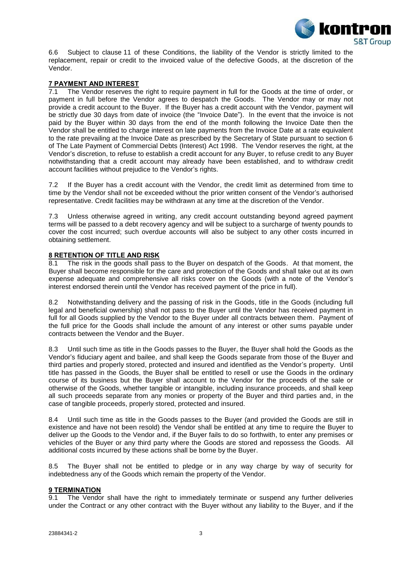

6.6 Subject to clause 11 of these Conditions, the liability of the Vendor is strictly limited to the replacement, repair or credit to the invoiced value of the defective Goods, at the discretion of the Vendor.

# **7 PAYMENT AND INTEREST**

<span id="page-2-0"></span>7.1 The Vendor reserves the right to require payment in full for the Goods at the time of order, or payment in full before the Vendor agrees to despatch the Goods. The Vendor may or may not provide a credit account to the Buyer. If the Buyer has a credit account with the Vendor, payment will be strictly due 30 days from date of invoice (the "Invoice Date"). ln the event that the invoice is not paid by the Buyer within 30 days from the end of the month following the Invoice Date then the Vendor shall be entitled to charge interest on late payments from the Invoice Date at a rate equivalent to the rate prevailing at the Invoice Date as prescribed by the Secretary of State pursuant to section 6 of The Late Payment of Commercial Debts (Interest) Act 1998. The Vendor reserves the right, at the Vendor's discretion, to refuse to establish a credit account for any Buyer, to refuse credit to any Buyer notwithstanding that a credit account may already have been established, and to withdraw credit account facilities without prejudice to the Vendor's rights.

7.2 If the Buyer has a credit account with the Vendor, the credit limit as determined from time to time by the Vendor shall not be exceeded without the prior written consent of the Vendor's authorised representative. Credit facilities may be withdrawn at any time at the discretion of the Vendor.

7.3 Unless otherwise agreed in writing, any credit account outstanding beyond agreed payment terms will be passed to a debt recovery agency and will be subject to a surcharge of twenty pounds to cover the cost incurred; such overdue accounts will also be subject to any other costs incurred in obtaining settlement.

## **8 RETENTION OF TITLE AND RISK**

8.1 The risk in the goods shall pass to the Buyer on despatch of the Goods. At that moment, the Buyer shall become responsible for the care and protection of the Goods and shall take out at its own expense adequate and comprehensive all risks cover on the Goods (with a note of the Vendor's interest endorsed therein until the Vendor has received payment of the price in full).

8.2 Notwithstanding delivery and the passing of risk in the Goods, title in the Goods (including full legal and beneficial ownership) shall not pass to the Buyer until the Vendor has received payment in full for all Goods supplied by the Vendor to the Buyer under all contracts between them. Payment of the full price for the Goods shall include the amount of any interest or other sums payable under contracts between the Vendor and the Buyer.

8.3 Until such time as title in the Goods passes to the Buyer, the Buyer shall hold the Goods as the Vendor's fiduciary agent and bailee, and shall keep the Goods separate from those of the Buyer and third parties and properly stored, protected and insured and identified as the Vendor's property. Until title has passed in the Goods, the Buyer shall be entitled to resell or use the Goods in the ordinary course of its business but the Buyer shall account to the Vendor for the proceeds of the sale or otherwise of the Goods, whether tangible or intangible, including insurance proceeds, and shall keep all such proceeds separate from any monies or property of the Buyer and third parties and, in the case of tangible proceeds, properly stored, protected and insured.

8.4 Until such time as title in the Goods passes to the Buyer (and provided the Goods are still in existence and have not been resold) the Vendor shall be entitled at any time to require the Buyer to deliver up the Goods to the Vendor and, if the Buyer fails to do so forthwith, to enter any premises or vehicles of the Buyer or any third party where the Goods are stored and repossess the Goods. All additional costs incurred by these actions shall be borne by the Buyer.

8.5 The Buyer shall not be entitled to pledge or in any way charge by way of security for indebtedness any of the Goods which remain the property of the Vendor.

# **9 TERMINATION**

9.1 The Vendor shall have the right to immediately terminate or suspend any further deliveries under the Contract or any other contract with the Buyer without any liability to the Buyer, and if the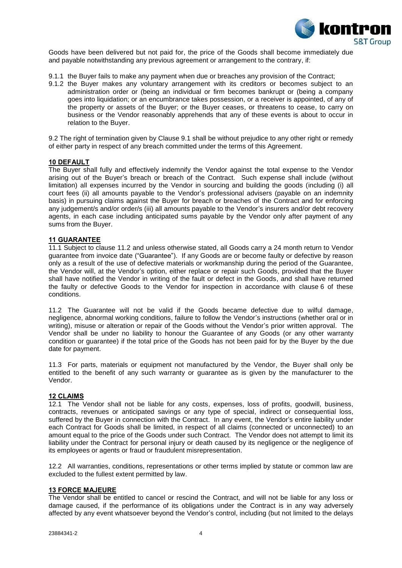

Goods have been delivered but not paid for, the price of the Goods shall become immediately due and payable notwithstanding any previous agreement or arrangement to the contrary, if:

- 9.1.1 the Buyer fails to make any payment when due or breaches any provision of the Contract;
- 9.1.2 the Buyer makes any voluntary arrangement with its creditors or becomes subject to an administration order or (being an individual or firm becomes bankrupt or (being a company goes into liquidation; or an encumbrance takes possession, or a receiver is appointed, of any of the property or assets of the Buyer; or the Buyer ceases, or threatens to cease, to carry on business or the Vendor reasonably apprehends that any of these events is about to occur in relation to the Buyer.

9.2 The right of termination given by Clause 9.1 shall be without prejudice to any other right or remedy of either party in respect of any breach committed under the terms of this Agreement.

### **10 DEFAULT**

The Buyer shall fully and effectively indemnify the Vendor against the total expense to the Vendor arising out of the Buyer's breach or breach of the Contract. Such expense shall include (without limitation) all expenses incurred by the Vendor in sourcing and building the goods (including (i) all court fees (ii) all amounts payable to the Vendor's professional advisers (payable on an indemnity basis) in pursuing claims against the Buyer for breach or breaches of the Contract and for enforcing any judgement/s and/or order/s (iii) all amounts payable to the Vendor's insurers and/or debt recovery agents, in each case including anticipated sums payable by the Vendor only after payment of any sums from the Buyer.

### **11 GUARANTEE**

11.1 Subject to clause [11.2](#page-3-0) and unless otherwise stated, all Goods carry a 24 month return to Vendor guarantee from invoice date ("Guarantee"). If any Goods are or become faulty or defective by reason only as a result of the use of defective materials or workmanship during the period of the Guarantee, the Vendor will, at the Vendor's option, either replace or repair such Goods, provided that the Buyer shall have notified the Vendor in writing of the fault or defect in the Goods, and shall have returned the faulty or defective Goods to the Vendor for inspection in accordance with clause 6 of these conditions.

<span id="page-3-0"></span>11.2 The Guarantee will not be valid if the Goods became defective due to wilful damage, negligence, abnormal working conditions, failure to follow the Vendor's instructions (whether oral or in writing), misuse or alteration or repair of the Goods without the Vendor's prior written approval. The Vendor shall be under no liability to honour the Guarantee of any Goods (or any other warranty condition or guarantee) if the total price of the Goods has not been paid for by the Buyer by the due date for payment.

11.3 For parts, materials or equipment not manufactured by the Vendor, the Buyer shall only be entitled to the benefit of any such warranty or guarantee as is given by the manufacturer to the Vendor.

#### **12 CLAIMS**

12.1 The Vendor shall not be liable for any costs, expenses, loss of profits, goodwill, business, contracts, revenues or anticipated savings or any type of special, indirect or consequential loss, suffered by the Buyer in connection with the Contract. In any event, the Vendor's entire liability under each Contract for Goods shall be limited, in respect of all claims (connected or unconnected) to an amount equal to the price of the Goods under such Contract. The Vendor does not attempt to limit its liability under the Contract for personal injury or death caused by its negligence or the negligence of its employees or agents or fraud or fraudulent misrepresentation.

12.2 All warranties, conditions, representations or other terms implied by statute or common law are excluded to the fullest extent permitted by law.

### **13 FORCE MAJEURE**

The Vendor shall be entitled to cancel or rescind the Contract, and will not be liable for any loss or damage caused, if the performance of its obligations under the Contract is in any way adversely affected by any event whatsoever beyond the Vendor's control, including (but not limited to the delays